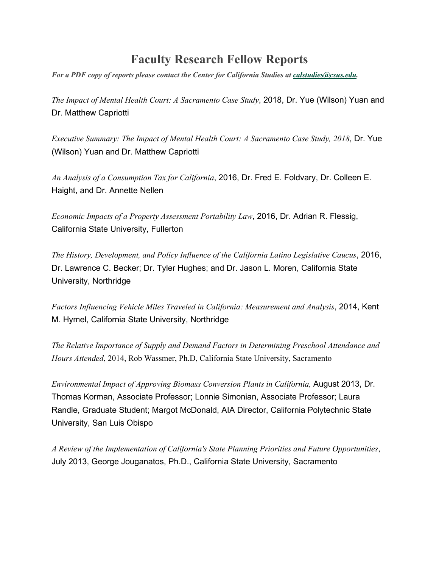## **Faculty Research Fellow Reports**

*For a PDF copy of reports please contact the Center for California Studies at [calstudies@csus.edu.](mailto:calstudies@csus.edu)*

*The Impact of Mental Health Court: A Sacramento Case Study*, 2018, Dr. Yue (Wilson) Yuan and Dr. Matthew Capriotti

*Executive Summary: The Impact of Mental Health Court: A Sacramento Case Study, 2018*, Dr. Yue (Wilson) Yuan and Dr. Matthew Capriotti

*An Analysis of a Consumption Tax for California*, 2016, Dr. Fred E. Foldvary, Dr. Colleen E. Haight, and Dr. Annette Nellen

*Economic Impacts of a Property Assessment Portability Law*, 2016, Dr. Adrian R. Flessig, California State University, Fullerton

*The History, Development, and Policy Influence of the California Latino Legislative Caucus*, 2016, Dr. Lawrence C. Becker; Dr. Tyler Hughes; and Dr. Jason L. Moren, California State University, Northridge

*Factors Influencing Vehicle Miles Traveled in California: Measurement and Analysis*, 2014, Kent M. Hymel, California State University, Northridge

*The Relative Importance of Supply and Demand Factors in Determining Preschool Attendance and Hours Attended*, 2014, Rob Wassmer, Ph.D, California State University, [Sacramento](https://www.csus.edu/calst/FRFP/Biomass_Report_2013-08-09.pdf)

*Environmental Impact of Approving Biomass Conversion Plants in California,* August 2013, Dr. Thomas Korman, Associate Professor; Lonnie Simonian, Associate Professor; Laura Randle, Graduate Student; Margot McDonald, AIA Director, California Polytechnic State University, San Luis Obispo

*A Review of the Implementation of California's State Planning Priorities and Future Opportunities*, July 2013, George Jouganatos, Ph.D., California State University, Sacramento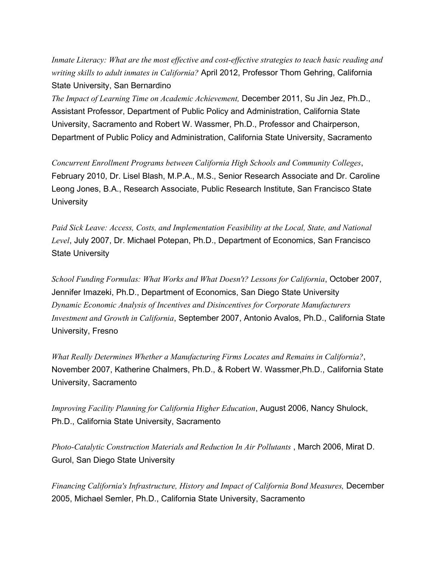*Inmate Literacy: What are the most effective and cost-effective strategies to teach basic reading and writing skills to adult inmates in California?* April 2012, Professor Thom Gehring, California State University, San Bernardino

*The Impact of Learning Time on Academic Achievement,* December 2011, Su Jin Jez, Ph.D., Assistant Professor, Department of Public Policy and Administration, California State University, Sacramento and Robert W. Wassmer, Ph.D., Professor and Chairperson, Department of Public Policy and Administration, California State University, Sacramento

*Concurrent Enrollment Programs between California High Schools and Community Colleges*, February 2010, Dr. Lisel Blash, M.P.A., M.S., Senior Research Associate and Dr. Caroline Leong Jones, B.A., Research Associate, Public Research Institute, San Francisco State **University** 

*Paid Sick Leave: Access, Costs, and Implementation Feasibility at the Local, State, and National Level*, July 2007, Dr. Michael Potepan, Ph.D., Department of Economics, San Francisco State University

*School Funding Formulas: What Works and What Doesn't? Lessons for California*, October 2007, Jennifer Imazeki, Ph.D., Department of Economics, San Diego State University *Dynamic Economic Analysis of Incentives and Disincentives for Corporate Manufacturers Investment and Growth in California*, September 2007, Antonio Avalos, Ph.D., California State University, Fresno

*What Really Determines Whether a Manufacturing Firms Locates and Remains in California?*, November 2007, Katherine Chalmers, Ph.D., & Robert W. Wassmer,Ph.D., California State University, Sacramento

*Improving Facility Planning for [California](https://www.csus.edu/calst/FRFP/improving_facility_planning.pdf) Higher Education*, August 2006, Nancy Shulock, Ph.D., California State University, Sacramento

*Photo-Catalytic Construction Materials and Reduction In Air Pollutants* , March 2006, Mirat D. Gurol, San Diego State University

*Financing California's Infrastructure, History and Impact of California Bond Measures,* December 2005, Michael Semler, Ph.D., California State University, Sacramento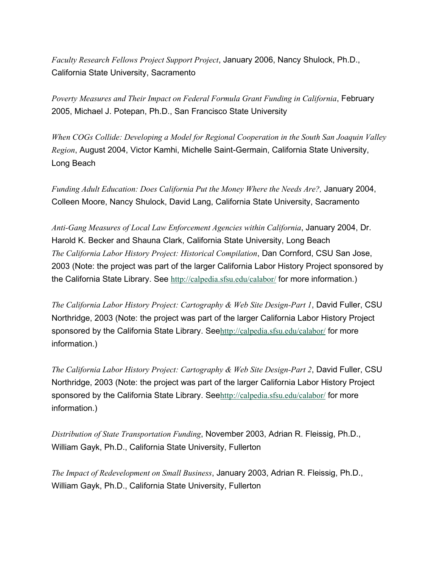*Faculty Research Fellows Project Support Project*, January 2006, Nancy Shulock, Ph.D., California State University, Sacramento

*Poverty Measures and Their Impact on Federal Formula Grant Funding in California*, February 2005, Michael J. Potepan, Ph.D., San Francisco State University

*When COGs Collide: Developing a Model for Regional Cooperation in the South San Joaquin Valley Region*, August 2004, Victor Kamhi, Michelle Saint-Germain, California State University, Long Beach

*Funding Adult Education: Does California Put the Money Where the Needs Are?,* January 2004, Colleen Moore, Nancy Shulock, David Lang, California State University, Sacramento

*Anti-Gang Measures of Local Law Enforcement Agencies within California*, January 2004, Dr. Harold K. Becker and Shauna Clark, California State University, Long Beach *The California Labor History Project: Historical Compilation*, Dan Cornford, CSU San Jose, 2003 (Note: the project was part of the larger California Labor History Project sponsored by the California State Library. See <http://calpedia.sfsu.edu/calabor/> for more information.)

*The California Labor History Project: Cartography & Web Site Design-Part 1*, David Fuller, CSU Northridge, 2003 (Note: the project was part of the larger California Labor History Project sponsored by the California State Library. See<http://calpedia.sfsu.edu/calabor/> for more information.)

*The California Labor History Project: Cartography & Web Site Design-Part 2*, David Fuller, CSU Northridge, 2003 (Note: the project was part of the larger California Labor History Project sponsored by the California State Library. See<http://calpedia.sfsu.edu/calabor/> for more information.)

*Distribution of State Transportation Funding*, November 2003, Adrian R. Fleissig, Ph.D., William Gayk, Ph.D., California State University, Fullerton

*The Impact of Redevelopment on Small Business*, January 2003, Adrian R. Fleissig, Ph.D., William Gayk, Ph.D., California State University, Fullerton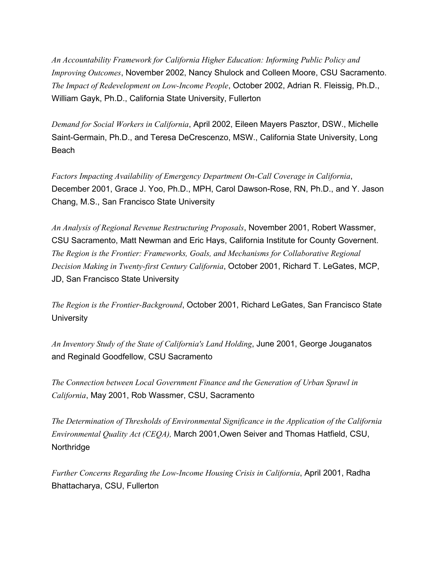*An Accountability Framework for California Higher Education: Informing Public Policy and Improving Outcomes*, November 2002, Nancy Shulock and Colleen Moore, CSU Sacramento. *The Impact of Redevelopment on Low-Income People*, October 2002, Adrian R. Fleissig, Ph.D., William Gayk, Ph.D., California State University, Fullerton

*Demand for Social Workers in California*, April 2002, Eileen Mayers Pasztor, DSW., Michelle Saint-Germain, Ph.D., and Teresa DeCrescenzo, MSW., California State University, Long Beach

*Factors Impacting Availability of Emergency Department On-Call Coverage in California*, December 2001, Grace J. Yoo, Ph.D., MPH, Carol Dawson-Rose, RN, Ph.D., and Y. Jason Chang, M.S., San Francisco State University

*An Analysis of Regional Revenue Restructuring Proposals*, November 2001, Robert Wassmer, CSU Sacramento, Matt Newman and Eric Hays, California Institute for County Governent. *The Region is the Frontier: Frameworks, Goals, and Mechanisms for Collaborative Regional Decision Making in Twenty-first Century California*, October 2001, Richard T. LeGates, MCP, JD, San Francisco State University

*The Region is the Frontier-Background*, October 2001, Richard LeGates, San Francisco State **University** 

*An Inventory Study of the State of California's Land Holding*, June 2001, George Jouganatos and Reginald Goodfellow, CSU Sacramento

*The Connection between Local Government Finance and the Generation of Urban Sprawl in California*, May 2001, Rob Wassmer, CSU, Sacramento

*The Determination of Thresholds of Environmental Significance in the Application of the California Environmental Quality Act (CEQA),* March 2001,Owen Seiver and Thomas Hatfield, CSU, **Northridge** 

*Further Concerns Regarding the Low-Income Housing Crisis in California*, April 2001, Radha Bhattacharya, CSU, Fullerton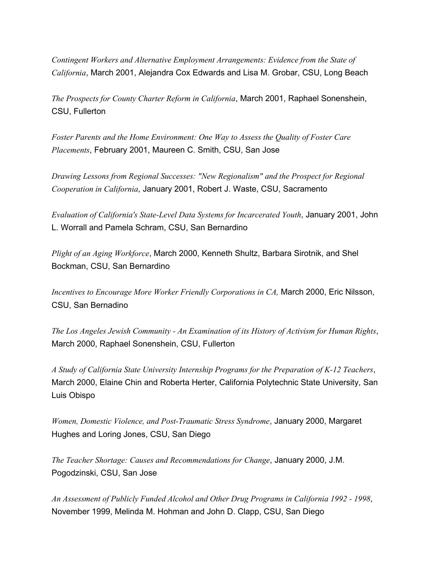*Contingent Workers and Alternative Employment Arrangements: Evidence from the State of California*, March 2001, Alejandra Cox Edwards and Lisa M. Grobar, CSU, Long Beach

*The Prospects for County Charter Reform in California*, March 2001, Raphael Sonenshein, CSU, Fullerton

*Foster Parents and the Home Environment: One Way to Assess the Quality of Foster Care Placements*, February 2001, Maureen C. Smith, CSU, San Jose

*Drawing Lessons from Regional Successes: "New Regionalism" and the Prospect for Regional Cooperation in California*, January 2001, Robert J. Waste, CSU, Sacramento

*Evaluation of California's State-Level Data Systems for Incarcerated Youth*, January 2001, John L. Worrall and Pamela Schram, CSU, San Bernardino

*Plight of an Aging Workforce*, March 2000, Kenneth Shultz, Barbara Sirotnik, and Shel Bockman, CSU, San Bernardino

*Incentives to Encourage More Worker Friendly Corporations in CA,* March 2000, Eric Nilsson, CSU, San Bernadino

*The Los Angeles Jewish Community - An Examination of its History of Activism for Human Rights*, March 2000, Raphael Sonenshein, CSU, Fullerton

*A Study of California State University Internship Programs for the Preparation of K-12 Teachers*, March 2000, Elaine Chin and Roberta Herter, California Polytechnic State University, San Luis Obispo

*Women, Domestic Violence, and Post-Traumatic Stress Syndrome*, January 2000, Margaret Hughes and Loring Jones, CSU, San Diego

*The Teacher Shortage: Causes and Recommendations for Change*, January 2000, J.M. Pogodzinski, CSU, San Jose

*An Assessment of Publicly Funded Alcohol and Other Drug Programs in California 1992 - 1998*, November 1999, Melinda M. Hohman and John D. Clapp, CSU, San Diego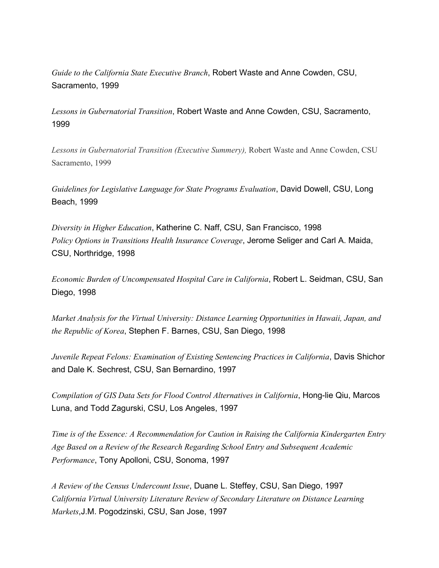*Guide to the California State Executive Branch*, Robert Waste and Anne Cowden, CSU, Sacramento, 1999

*Lessons in Gubernatorial Transition*, Robert Waste and Anne Cowden, CSU, Sacramento, 1999

*Lessons in Gubernatorial Transition (Executive Summery),* Robert Waste and Anne Cowden, CSU Sacramento, 1999

*Guidelines for Legislative Language for State Programs Evaluation*, David Dowell, CSU, Long Beach, 1999

*Diversity in Higher Education*, Katherine C. Naff, CSU, San Francisco, 1998 *Policy Options in Transitions Health Insurance Coverage*, Jerome Seliger and Carl A. Maida, CSU, Northridge, 1998

*Economic Burden of Uncompensated Hospital Care in California*, Robert L. Seidman, CSU, San Diego, 1998

*Market Analysis for the Virtual University: Distance Learning Opportunities in Hawaii, Japan, and the Republic of Korea*, Stephen F. Barnes, CSU, San Diego, 1998

*Juvenile Repeat Felons: Examination of Existing Sentencing Practices in California*, Davis Shichor and Dale K. Sechrest, CSU, San Bernardino, 1997

*Compilation of GIS Data Sets for Flood Control Alternatives in California*, Hong-lie Qiu, Marcos Luna, and Todd Zagurski, CSU, Los Angeles, 1997

*Time is of the Essence: A Recommendation for Caution in Raising the California Kindergarten Entry Age Based on a Review of the Research Regarding School Entry and Subsequent Academic Performance*, Tony Apolloni, CSU, Sonoma, 1997

*A Review of the Census Undercount Issue*, Duane L. Steffey, CSU, San Diego, 1997 *California Virtual University Literature Review of Secondary Literature on Distance Learning Markets*,J.M. Pogodzinski, CSU, San Jose, 1997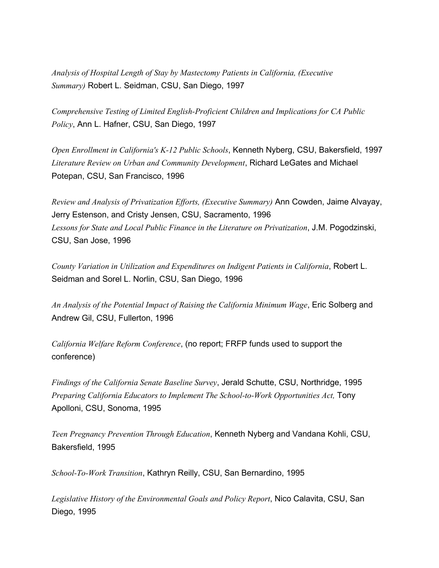*Analysis of Hospital Length of Stay by Mastectomy Patients in California, (Executive Summary)* Robert L. Seidman, CSU, San Diego, 1997

*Comprehensive Testing of Limited English-Proficient Children and Implications for CA Public Policy*, Ann L. Hafner, CSU, San Diego, 1997

*Open Enrollment in California's K-12 Public Schools*, Kenneth Nyberg, CSU, Bakersfield, 1997 *Literature Review on Urban and Community Development*, Richard LeGates and Michael Potepan, CSU, San Francisco, 1996

*Review and Analysis of Privatization Efforts, (Executive Summary)* Ann Cowden, Jaime Alvayay, Jerry Estenson, and Cristy Jensen, CSU, Sacramento, 1996 *Lessons for State and Local Public Finance in the Literature on Privatization*, J.M. Pogodzinski, CSU, San Jose, 1996

*County Variation in Utilization and Expenditures on Indigent Patients in California*, Robert L. Seidman and Sorel L. Norlin, CSU, San Diego, 1996

*An Analysis of the Potential Impact of Raising the California Minimum Wage*, Eric Solberg and Andrew Gil, CSU, Fullerton, 1996

*California Welfare Reform Conference*, (no report; FRFP funds used to support the conference)

*Findings of the California Senate Baseline Survey*, Jerald Schutte, CSU, Northridge, 1995 *Preparing California Educators to Implement The School-to-Work Opportunities Act,* Tony Apolloni, CSU, Sonoma, 1995

*Teen Pregnancy Prevention Through Education*, Kenneth Nyberg and Vandana Kohli, CSU, Bakersfield, 1995

*School-To-Work Transition*, Kathryn Reilly, CSU, San Bernardino, 1995

*Legislative History of the Environmental Goals and Policy Report*, Nico Calavita, CSU, San Diego, 1995